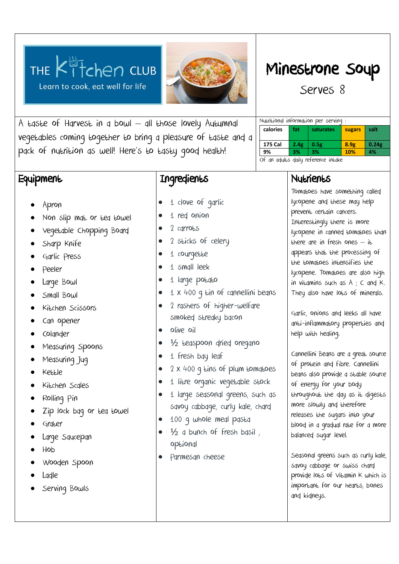



A taste of Harvest in a bowl – all those lovely Autumnal vegetables coming together to bring a pleasure of taste and a pack of nutrition as well! Here's to tasty good health!

## **Equipment**

## **Ingredients**

- 1 clove of garlic
	- 1 red onion
	- 2 carro<sub>ts</sub>
- 2 sticks of celery
- 1 courgette
- 1 small leek
- 1 large potato
- 1 x 400 g tin of cannellini beans
- 2 rashers of higher-welfare smoked streaky bacon
- olive oil
- <sup>1/2</sup> teaspoon dried oregano
- 1 fresh bay leaf
- 2 x 400 g tins of plum tomatoes
- 1 litre organic vegetable stock
- 1 large seasonal greens, such as savoy cabbage, curly kale, chard
- 100 g whole meal pasta
- $\frac{1}{2}$  a bunch of fresh basil, optional
- Parmesan cheese

# Minestrone Soup

Serves 8

| Nutritional information per serving : |      |                     |                  |       |  |  |
|---------------------------------------|------|---------------------|------------------|-------|--|--|
| calories                              | fat  | saturates<br>sugars |                  | salt  |  |  |
|                                       |      |                     |                  |       |  |  |
| <b>175 Cal</b>                        | 2.4g | 0.5g                | 8.9 <sub>g</sub> | 0.24g |  |  |
| 9%                                    | 3%   | 3%                  | 10%              | 4%    |  |  |
|                                       |      |                     |                  |       |  |  |

Of an adults daily reference intake

## Nutrients

Tomatoes have something called lycopene and these may help prevent certain cancers. Interestingly there is more lycopene in canned tomatoes than there are in fresh ones  $-$  it appears that the processing of the tomatoes intensifies the lycopene. Tomatoes are also high in vitamins such as A ; C and K. They also have lots of minerals.

Garlic, onions and leeks all have anti-inflammatory properties and help with healing.

Cannellini Beans are a great source of protein and fibre. Cannellini beans also provide a stable source of energy for your body throughout the day as it digests more slowly and therefore releases the sugars into your blood in a gradual rate for a more balanced sugar level.

Seasonal greens such as curly kale, savoy cabbage or swiss chard provide lots of Vitamin K which is important for our hearts, bones and kidneys.

### Apron

- Non slip mat or tea towel
- Vegetable Chopping Board
- Sharp Knife
- Garlic Press
- Peeler
- Large Bowl
- Small Bowl
- Kitchen Scissors
- Can opener
- Colander
- Measuring Spoons
- Measuring Jug
- Kettle
- Kitchen Scales
- Rolling Pin
- Zip lock bag or tea towel
- Grater
- Large Saucepan
- Hob
- Wooden Spoon
- Ladle
- Serving Bowls